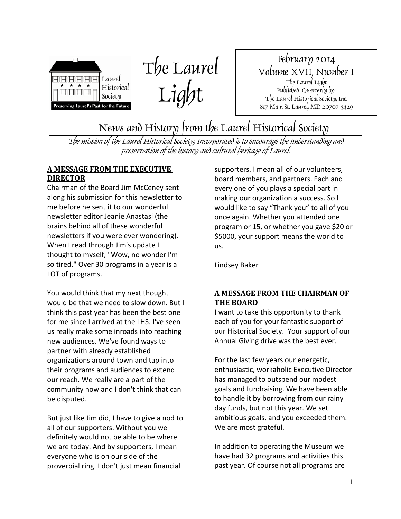



February 2014 Volume XVII, Number I The Laurel Light Published Quarterly by: The Laurel Historical Society, Inc. 817 Main St. Laurel, MD 20707-3429

News and History from the Laurel Historical Society

The mission of the Laurel Historical Society, Incorporated is to encourage the understanding and preservation of the history and cultural heritage of Laurel.

### **A MESSAGE FROM THE EXECUTIVE DIRECTOR**

Chairman of the Board Jim McCeney sent along his submission for this newsletter to me before he sent it to our wonderful newsletter editor Jeanie Anastasi (the brains behind all of these wonderful newsletters if you were ever wondering). When I read through Jim's update I thought to myself, "Wow, no wonder I'm so tired." Over 30 programs in a year is a LOT of programs.

You would think that my next thought would be that we need to slow down. But I think this past year has been the best one for me since I arrived at the LHS. I've seen us really make some inroads into reaching new audiences. We've found ways to partner with already established organizations around town and tap into their programs and audiences to extend our reach. We really are a part of the community now and I don't think that can be disputed.

But just like Jim did, I have to give a nod to all of our supporters. Without you we definitely would not be able to be where we are today. And by supporters, I mean everyone who is on our side of the proverbial ring. I don't just mean financial

supporters. I mean all of our volunteers, board members, and partners. Each and every one of you plays a special part in making our organization a success. So I would like to say "Thank you" to all of you once again. Whether you attended one program or 15, or whether you gave \$20 or \$5000, your support means the world to us.

Lindsey Baker

### **A MESSAGE FROM THE CHAIRMAN OF THE BOARD**

I want to take this opportunity to thank each of you for your fantastic support of our Historical Society. Your support of our Annual Giving drive was the best ever.

For the last few years our energetic, enthusiastic, workaholic Executive Director has managed to outspend our modest goals and fundraising. We have been able to handle it by borrowing from our rainy day funds, but not this year. We set ambitious goals, and you exceeded them. We are most grateful.

In addition to operating the Museum we have had 32 programs and activities this past year. Of course not all programs are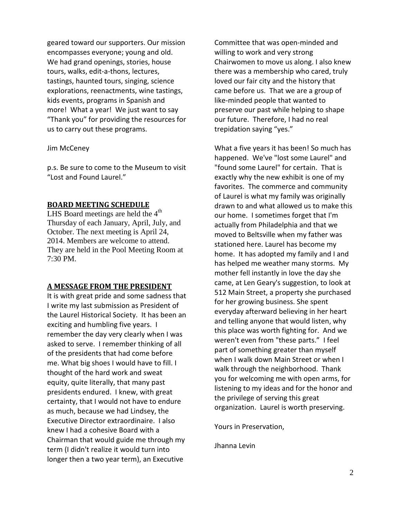geared toward our supporters. Our mission encompasses everyone; young and old. We had grand openings, stories, house tours, walks, edit-a-thons, lectures, tastings, haunted tours, singing, science explorations, reenactments, wine tastings, kids events, programs in Spanish and more! What a year! We just want to say "Thank you" for providing the resources for us to carry out these programs.

#### Jim McCeney

p.s. Be sure to come to the Museum to visit "Lost and Found Laurel."

#### **BOARD MEETING SCHEDULE**

LHS Board meetings are held the  $4<sup>th</sup>$ Thursday of each January, April, July, and October. The next meeting is April 24, 2014. Members are welcome to attend. They are held in the Pool Meeting Room at 7:30 PM.

#### **A MESSAGE FROM THE PRESIDENT**

It is with great pride and some sadness that I write my last submission as President of the Laurel Historical Society. It has been an exciting and humbling five years. I remember the day very clearly when I was asked to serve. I remember thinking of all of the presidents that had come before me. What big shoes I would have to fill. I thought of the hard work and sweat equity, quite literally, that many past presidents endured. I knew, with great certainty, that I would not have to endure as much, because we had Lindsey, the Executive Director extraordinaire. I also knew I had a cohesive Board with a Chairman that would guide me through my term (I didn't realize it would turn into longer then a two year term), an Executive

Committee that was open-minded and willing to work and very strong Chairwomen to move us along. I also knew there was a membership who cared, truly loved our fair city and the history that came before us. That we are a group of like-minded people that wanted to preserve our past while helping to shape our future. Therefore, I had no real trepidation saying "yes."

What a five years it has been! So much has happened. We've "lost some Laurel" and "found some Laurel" for certain. That is exactly why the new exhibit is one of my favorites. The commerce and community of Laurel is what my family was originally drawn to and what allowed us to make this our home. I sometimes forget that I'm actually from Philadelphia and that we moved to Beltsville when my father was stationed here. Laurel has become my home. It has adopted my family and I and has helped me weather many storms. My mother fell instantly in love the day she came, at Len Geary's suggestion, to look at 512 Main Street, a property she purchased for her growing business. She spent everyday afterward believing in her heart and telling anyone that would listen, why this place was worth fighting for. And we weren't even from "these parts." I feel part of something greater than myself when I walk down Main Street or when I walk through the neighborhood. Thank you for welcoming me with open arms, for listening to my ideas and for the honor and the privilege of serving this great organization. Laurel is worth preserving.

Yours in Preservation,

Jhanna Levin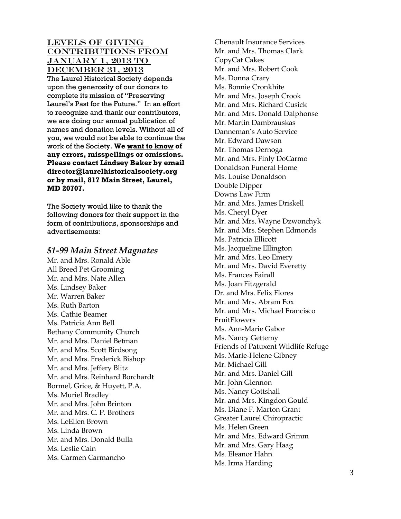LEVELS OF GIVING contributions from The Laurel Historical Society depends upon the generosity of our donors to complete its mission of "Preserving Laurel's Past for the Future." In an effort to recognize and thank our contributors, we are doing our annual publication of names and donation levels. Without all of you, we would not be able to continue the work of the Society. **We want to know of**  January 1, 2013 to DECEMBER 31, 2013 **any errors, misspellings or omissions. Please contact Lindsey Baker by email director@laurelhistoricalsociety.org or by mail, 817 Main Street, Laurel, MD 20707.**

The Society would like to thank the following donors for their support in the form of contributions, sponsorships and advertisements:

#### *\$1-99 Main Street Magnates*

Mr. and Mrs. Ronald Able All Breed Pet Grooming Mr. and Mrs. Nate Allen Ms. Lindsey Baker Mr. Warren Baker Ms. Ruth Barton Ms. Cathie Beamer Ms. Patricia Ann Bell Bethany Community Church Mr. and Mrs. Daniel Betman Mr. and Mrs. Scott Birdsong Mr. and Mrs. Frederick Bishop Mr. and Mrs. Jeffery Blitz Mr. and Mrs. Reinhard Borchardt Bormel, Grice, & Huyett, P.A. Ms. Muriel Bradley Mr. and Mrs. John Brinton Mr. and Mrs. C. P. Brothers Ms. LeEllen Brown Ms. Linda Brown Mr. and Mrs. Donald Bulla Ms. Leslie Cain Ms. Carmen Carmancho

Chenault Insurance Services Mr. and Mrs. Thomas Clark CopyCat Cakes Mr. and Mrs. Robert Cook Ms. Donna Crary Ms. Bonnie Cronkhite Mr. and Mrs. Joseph Crook Mr. and Mrs. Richard Cusick Mr. and Mrs. Donald Dalphonse Mr. Martin Dambrauskas Danneman's Auto Service Mr. Edward Dawson Mr. Thomas Dernoga Mr. and Mrs. Finly DoCarmo Donaldson Funeral Home Ms. Louise Donaldson Double Dipper Downs Law Firm Mr. and Mrs. James Driskell Ms. Cheryl Dyer Mr. and Mrs. Wayne Dzwonchyk Mr. and Mrs. Stephen Edmonds Ms. Patricia Ellicott Ms. Jacqueline Ellington Mr. and Mrs. Leo Emery Mr. and Mrs. David Everetty Ms. Frances Fairall Ms. Joan Fitzgerald Dr. and Mrs. Felix Flores Mr. and Mrs. Abram Fox Mr. and Mrs. Michael Francisco FruitFlowers Ms. Ann-Marie Gabor Ms. Nancy Gettemy Friends of Patuxent Wildlife Refuge Ms. Marie-Helene Gibney Mr. Michael Gill Mr. and Mrs. Daniel Gill Mr. John Glennon Ms. Nancy Gottshall Mr. and Mrs. Kingdon Gould Ms. Diane F. Marton Grant Greater Laurel Chiropractic Ms. Helen Green Mr. and Mrs. Edward Grimm Mr. and Mrs. Gary Haag Ms. Eleanor Hahn Ms. Irma Harding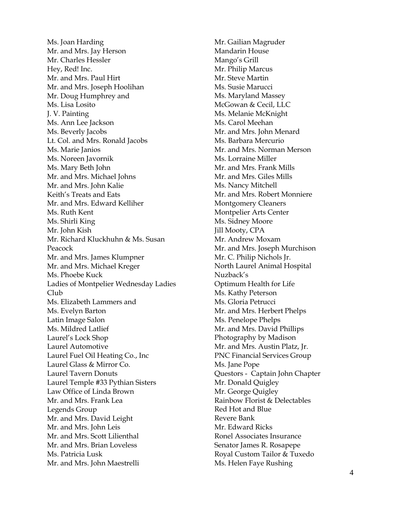Ms. Joan Harding Mr. and Mrs. Jay Herson Mr. Charles Hessler Hey, Red! Inc. Mr. and Mrs. Paul Hirt Mr. and Mrs. Joseph Hoolihan Mr. Doug Humphrey and Ms. Lisa Losito J. V. Painting Ms. Ann Lee Jackson Ms. Beverly Jacobs Lt. Col. and Mrs. Ronald Jacobs Ms. Marie Janios Ms. Noreen Javornik Ms. Mary Beth John Mr. and Mrs. Michael Johns Mr. and Mrs. John Kalie Keith's Treats and Eats Mr. and Mrs. Edward Kelliher Ms. Ruth Kent Ms. Shirli King Mr. John Kish Mr. Richard Kluckhuhn & Ms. Susan Peacock Mr. and Mrs. James Klumpner Mr. and Mrs. Michael Kreger Ms. Phoebe Kuck Ladies of Montpelier Wednesday Ladies Club Ms. Elizabeth Lammers and Ms. Evelyn Barton Latin Image Salon Ms. Mildred Latlief Laurel's Lock Shop Laurel Automotive Laurel Fuel Oil Heating Co., Inc Laurel Glass & Mirror Co. Laurel Tavern Donuts Laurel Temple #33 Pythian Sisters Law Office of Linda Brown Mr. and Mrs. Frank Lea Legends Group Mr. and Mrs. David Leight Mr. and Mrs. John Leis Mr. and Mrs. Scott Lilienthal Mr. and Mrs. Brian Loveless Ms. Patricia Lusk Mr. and Mrs. John Maestrelli

Mr. Gailian Magruder Mandarin House Mango's Grill Mr. Philip Marcus Mr. Steve Martin Ms. Susie Marucci Ms. Maryland Massey McGowan & Cecil, LLC Ms. Melanie McKnight Ms. Carol Meehan Mr. and Mrs. John Menard Ms. Barbara Mercurio Mr. and Mrs. Norman Merson Ms. Lorraine Miller Mr. and Mrs. Frank Mills Mr. and Mrs. Giles Mills Ms. Nancy Mitchell Mr. and Mrs. Robert Monniere Montgomery Cleaners Montpelier Arts Center Ms. Sidney Moore Jill Mooty, CPA Mr. Andrew Moxam Mr. and Mrs. Joseph Murchison Mr. C. Philip Nichols Jr. North Laurel Animal Hospital Nuzback's Optimum Health for Life Ms. Kathy Peterson Ms. Gloria Petrucci Mr. and Mrs. Herbert Phelps Ms. Penelope Phelps Mr. and Mrs. David Phillips Photography by Madison Mr. and Mrs. Austin Platz, Jr. PNC Financial Services Group Ms. Jane Pope Questors - Captain John Chapter Mr. Donald Quigley Mr. George Quigley Rainbow Florist & Delectables Red Hot and Blue Revere Bank Mr. Edward Ricks Ronel Associates Insurance Senator James R. Rosapepe Royal Custom Tailor & Tuxedo Ms. Helen Faye Rushing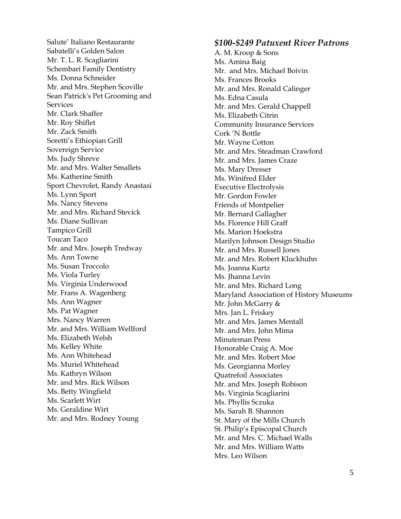Salute ' Italiano Restaurante Sabatelli's Golden Salon Mr. T. L. R. Scagliarini Schembari Family Dentistry Ms. Donna Schneider Mr. and Mrs. Stephen Scoville Sean Patrick's Pet Grooming and **Services** Mr. Clark Shaffer Mr. Roy Shiflet Mr. Zack Smith Soretti's Ethiopian Grill Sovereign Service Ms. Judy Shreve Mr. and Mrs. Walter Smallets Ms. Katherine Smith Sport Chevrolet, Randy Anastasi Ms. Lynn Sport Ms. Nancy Stevens Mr . and Mrs. Richard Stevick Ms. Diane Sullivan Tampico Grill Toucan Taco Mr. and Mrs. Joseph Tredway Ms. Ann Towne Ms. Susan Troccolo Ms. Viola Turley Ms. Virginia Underwood Mr. Frans A. Wagenberg Ms. Ann Wagner Ms. Pat Wagner Mrs. Nancy Warren Mr. and Mrs. William Wellford Ms. Elizabeth Welsh Ms. Kelley White Ms. Ann Whitehead Ms. Muriel Whitehead Ms. Kathryn Wilson Mr. and Mrs. Rick Wilson Ms. Betty Wingfield Ms. Scarlett Wirt Ms. Geraldine Wirt Mr. and Mrs. Rodney Young

### *\$100 -\$249 Patuxent River Patrons*

A. M. Kroop & Sons Ms. Amina Baig Mr. and Mrs. Michael Boivin Ms. Frances Brooks Mr. and Mrs. Ronald Calinger Ms. Edna Casula Mr. and Mrs. Gerald Chappell Ms. Elizabeth Citrin Community Insurance Services Cork 'N Bottle Mr. Wayne Cotton Mr. and Mrs. Steadman Crawford Mr. and Mrs. James Craze Ms. Mary Dresser Ms. Winifred Elder Executive Electrolysis Mr. Gordon Fowler Friends of Montpelier Mr. Bernard Gallagher Ms. Florence Hill Graff Ms. Marion Hoekstra Marilyn Johnson Design Studio Mr. and Mrs. Russell Jones Mr. and Mrs. Robert Kluckhuhn Ms. Joanna Kurtz Ms. Jhanna Levin Mr. and Mrs. Richard Long Maryland Association of History Museums Mr. John McGarry & Mrs. Jan L. Friskey Mr. and Mrs. James Mentall Mr. and Mrs. John Mima Minuteman Press Honorable Craig A. Moe Mr. and Mrs. Robert Moe Ms. Georgianna Morley Quatrefoil Associates Mr. and Mrs. Joseph Robison Ms. Virginia Scagliarini Ms. Phyllis Sczuka Ms. Sarah B. Shannon St. Mary of the Mills Church St. Philip's Episcopal Church Mr. and Mrs. C. Michael Walls Mr. and Mrs. William Watts Mrs. Leo Wilson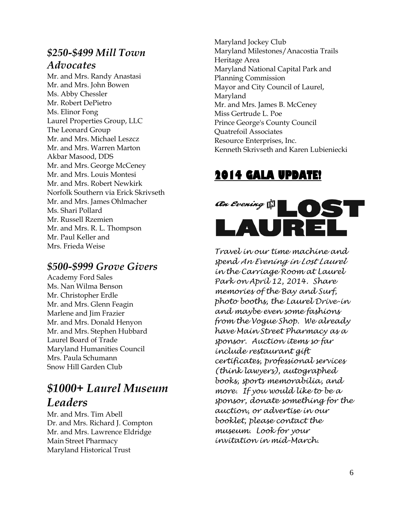### *\$250-\$499 Mill Town Advocates*

Mr. and Mrs. Randy Anastasi Mr. and Mrs. John Bowen Ms. Abby Chessler Mr. Robert DePietro Ms. Elinor Fong Laurel Properties Group, LLC The Leonard Group Mr. and Mrs. Michael Leszcz Mr. and Mrs. Warren Marton Akbar Masood, DDS Mr. and Mrs. George McCeney Mr. and Mrs. Louis Montesi Mr. and Mrs. Robert Newkirk Norfolk Southern via Erick Skrivseth Mr. and Mrs. James Ohlmacher Ms. Shari Pollard Mr. Russell Rzemien Mr. and Mrs. R. L. Thompson Mr. Paul Keller and Mrs. Frieda Weise

### *\$500-\$999 Grove Givers*

Academy Ford Sales Ms. Nan Wilma Benson Mr. Christopher Erdle Mr. and Mrs. Glenn Feagin Marlene and Jim Frazier Mr. and Mrs. Donald Henyon Mr. and Mrs. Stephen Hubbard Laurel Board of Trade Maryland Humanities Council Mrs. Paula Schumann Snow Hill Garden Club

## *\$1000+ Laurel Museum Leaders*

Mr. and Mrs. Tim Abell Dr. and Mrs. Richard J. Compton Mr. and Mrs. Lawrence Eldridge Main Street Pharmacy Maryland Historical Trust

Maryland Jockey Club Maryland Milestones/Anacostia Trails Heritage Area Maryland National Capital Park and Planning Commission Mayor and City Council of Laurel, Maryland Mr. and Mrs. James B. McCeney Miss Gertrude L. Poe Prince George's County Council Quatrefoil Associates Resource Enterprises, Inc. Kenneth Skrivseth and Karen Lubieniecki

## **2014 GALA UPDATE!**



*Travel in our time machine and spend An Evening in Lost Laurel in the Carriage Room at Laurel Park on April 12, 2014. Share memories of the Bay and Surf, photo booths, the Laurel Drive-in and maybe even some fashions from the Vogue Shop. We already have Main Street Pharmacy as a sponsor. Auction items so far include restaurant gift certificates, professional services (think lawyers), autographed books, sports memorabilia, and more. If you would like to be a sponsor, donate something for the auction, or advertise in our booklet, please contact the museum. Look for your invitation in mid-March.*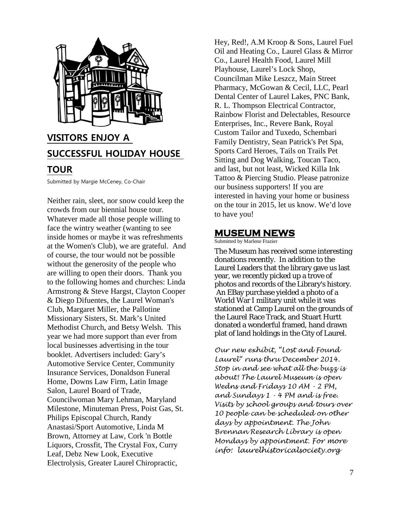

## **VISITORS ENJOY A SUCCESSFUL HOLIDAY HOUSE**

### **TOUR**

Submitted by Margie McCeney, Co-Chair

Neither rain, sleet, nor snow could keep the crowds from our biennial house tour. Whatever made all those people willing to face the wintry weather (wanting to see inside homes or maybe it was refreshments at the Women's Club), we are grateful. And of course, the tour would not be possible without the generosity of the people who are willing to open their doors. Thank you to the following homes and churches: Linda Armstrong & Steve Hargst, Clayton Cooper & Diego Difuentes, the Laurel Woman's Club, Margaret Miller, the Pallotine Missionary Sisters, St. Mark's United Methodist Church, and Betsy Welsh. This year we had more support than ever from local businesses advertising in the tour booklet. Advertisers included: Gary's Automotive Service Center, Community Insurance Services, Donaldson Funeral Home, Downs Law Firm, Latin Image Salon, Laurel Board of Trade, Councilwoman Mary Lehman, Maryland Milestone, Minuteman Press, Poist Gas, St. Philips Episcopal Church, Randy Anastasi/Sport Automotive, Linda M Brown, Attorney at Law, Cork 'n Bottle Liquors, Crossfit, The Crystal Fox, Curry Leaf, Debz New Look, Executive Electrolysis, Greater Laurel Chiropractic,

Hey, Red!, A.M Kroop & Sons, Laurel Fuel Oil and Heating Co., Laurel Glass & Mirror Co., Laurel Health Food, Laurel Mill Playhouse, Laurel's Lock Shop, Councilman Mike Leszcz, Main Street Pharmacy, McGowan & Cecil, LLC, Pearl Dental Center of Laurel Lakes, PNC Bank, R. L. Thompson Electrical Contractor, Rainbow Florist and Delectables, Resource Enterprises, Inc., Revere Bank, Royal Custom Tailor and Tuxedo, Schembari Family Dentistry, Sean Patrick's Pet Spa, Sports Card Heroes, Tails on Trails Pet Sitting and Dog Walking, Toucan Taco, and last, but not least, Wicked Killa Ink Tattoo & Piercing Studio. Please patronize our business supporters! If you are interested in having your home or business on the tour in 2015, let us know. We'd love to have you!

### **MUSEUM NEWS**

Submitted by Marlene Frazier

The Museum has received some interesting donations recently. In addition to the Laurel Leaders that the library gave us last year, we recently picked up a trove of photos and records of the Library's history. An EBay purchase yielded a photo of a World War I military unit while it was stationed at Camp Laurel on the grounds of the Laurel Race Track, and Stuart Hurtt donated a wonderful framed, hand drawn plat of land holdings in the City of Laurel.

*Our new exhibit, "Lost and Found Laurel" runs thru December 2014. Stop in and see what all the buzz is about! The Laurel Museum is open Wedns and Fridays 10 AM - 2 PM, and Sundays 1 - 4 PM and is free. Visits by school groups and tours over 10 people can be scheduled on other days by appointment. The John Brennan Research Library is open Mondays by appointment. For more info: laurelhistoricalsociety.org*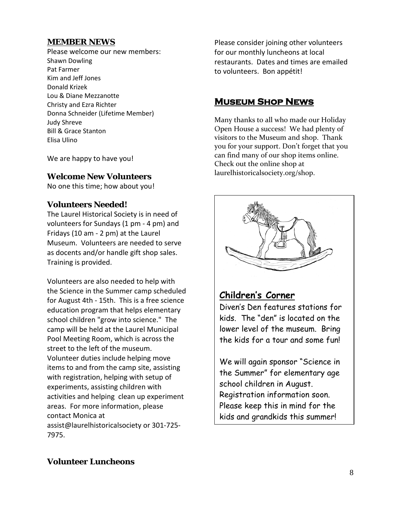### **MEMBER NEWS**

Please welcome our new members: Shawn Dowling Pat Farmer Kim and Jeff Jones Donald Krizek Lou & Diane Mezzanotte Christy and Ezra Richter Donna Schneider (Lifetime Member) Judy Shreve Bill & Grace Stanton Elisa Ulino

We are happy to have you!

### **Welcome New Volunteers**

No one this time; how about you!

### **Volunteers Needed!**

The Laurel Historical Society is in need of volunteers for Sundays (1 pm - 4 pm) and Fridays (10 am - 2 pm) at the Laurel Museum. Volunteers are needed to serve as docents and/or handle gift shop sales. Training is provided.

Volunteers are also needed to help with the Science in the Summer camp scheduled for August 4th - 15th. This is a free science education program that helps elementary school children "grow into science." The camp will be held at the Laurel Municipal Pool Meeting Room, which is across the street to the left of the museum. Volunteer duties include helping move items to and from the camp site, assisting with registration, helping with setup of experiments, assisting children with activities and helping clean up experiment areas. For more information, please contact Monica at assist@laurelhistoricalsociety or 301-725- 7975.

Please consider joining other volunteers for our monthly luncheons at local restaurants. Dates and times are emailed to volunteers. Bon appétit!

### **Museum Shop News**

Many thanks to all who made our Holiday Open House a success! We had plenty of visitors to the Museum and shop. Thank you for your support. Don't forget that you can find many of our shop items online. Check out the online shop at laurelhistoricalsociety.org/shop.



### **Children's Corner**

Diven's Den features stations for kids. The "den" is located on the lower level of the museum. Bring the kids for a tour and some fun!

We will again sponsor "Science in the Summer" for elementary age school children in August. Registration information soon. Please keep this in mind for the kids and grandkids this summer!

### **Volunteer Luncheons**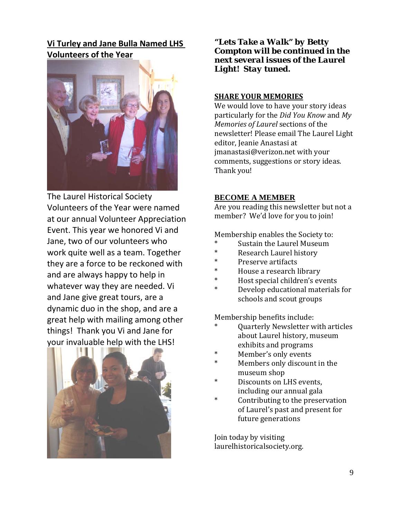**Vi Turley and Jane Bulla Named LHS Volunteers of the Year**



The Laurel Historical Society Volunteers of the Year were named at our annual Volunteer Appreciation Event. This year we honored Vi and Jane, two of our volunteers who work quite well as a team. Together they are a force to be reckoned with and are always happy to help in whatever way they are needed. Vi and Jane give great tours, are a dynamic duo in the shop, and are a great help with mailing among other things! Thank you Vi and Jane for your invaluable help with the LHS!



*"Lets Take a Walk" by Betty Compton will be continued in the next several issues of the Laurel Light! Stay tuned.*

#### **SHARE YOUR MEMORIES**

We would love to have your story ideas particularly for the *Did You Know* and *My Memories of Laurel* sections of the newsletter! Please email The Laurel Light editor, Jeanie Anastasi at jmanastasi@verizon.net with your comments, suggestions or story ideas. Thank you!

#### **BECOME A MEMBER**

Are you reading this newsletter but not a member? We'd love for you to join!

Membership enables the Society to:

- Sustain the Laurel Museum
- Research Laurel history
- Preserve artifacts
- House a research library
- Host special children's events
- Develop educational materials for schools and scout groups

Membership benefits include:

- Quarterly Newsletter with articles about Laurel history, museum exhibits and programs
- Member's only events
- Members only discount in the museum shop
- Discounts on LHS events, including our annual gala
- Contributing to the preservation of Laurel's past and present for future generations

Join today by visiting laurelhistoricalsociety.org.